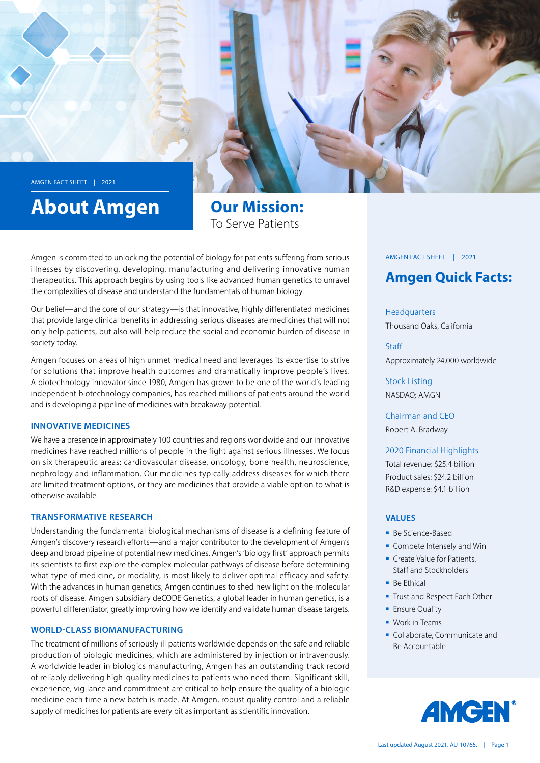

# **About Amgen**

**Our Mission:** To Serve Patients

Amgen is committed to unlocking the potential of biology for patients suffering from serious illnesses by discovering, developing, manufacturing and delivering innovative human therapeutics. This approach begins by using tools like advanced human genetics to unravel the complexities of disease and understand the fundamentals of human biology.

Our belief—and the core of our strategy—is that innovative, highly differentiated medicines that provide large clinical benefits in addressing serious diseases are medicines that will not only help patients, but also will help reduce the social and economic burden of disease in society today.

Amgen focuses on areas of high unmet medical need and leverages its expertise to strive for solutions that improve health outcomes and dramatically improve people's lives. A biotechnology innovator since 1980, Amgen has grown to be one of the world's leading in dependent biotechnology companies, has reached millions of patients around the world and is developing a pipeline of medicines with breakaway potential.

#### **INNOVATIVE MEDICINES**

We have a presence in approximately 100 countries and regions worldwide and our innovative medicines have reached millions of people in the fight against serious illnesses. We focus on six therapeutic areas: cardiovascular disease, oncology, bone health, neuroscience, nephrology and inflammation. Our medicines typically address diseases for which there are limited treatment options, or they are medicines that provide a viable option to what is otherwise available.

#### **TRANSFORMATIVE RESEARCH**

Understanding the fundamental biological mechanisms of disease is a defining feature of Amgen's discovery research efforts—and a major contributor to the development of Amgen's deep and broad pipeline of potential new medicines. Amgen's 'biology first' approach permits its scientists to first explore the complex molecular pathways of disease before determining what type of medicine, or modality, is most likely to deliver optimal efficacy and safety. With the advances in human genetics, Amgen continues to shed new light on the molecular roots of disease. Amgen subsidiary deCODE Genetics, a global leader in human genetics, is a powerful differentiator, greatly improving how we identify and validate human disease targets.

#### WORLD-CLASS BIOMANUFACTURING

The treatment of millions of seriously ill patients worldwide depends on the safe and reliable production of biologic medicines, which are administered by injection or intravenously. A worldwide leader in biologics manufacturing, Amgen has an outstanding track record of reliably delivering high-quality medicines to patients who need them. Significant skill, experience, vigilance and commitment are critical to help ensure the quality of a biologic medicine each time a new batch is made. At Amgen, robust quality control and a reliable supply of medicines for patients are every bit as important as scientific innovation.

#### AMGEN FACT SHEET | 2021

## **Amgen Quick Facts:**

Headquarters Thousand Oaks, California

**Staff** Approximately 24,000 worldwide

**Stock Listing** NASDAO: AMGN

Chairman and CFO Robert A. Bradway

2020 Financial Highlights

Total revenue: \$25.4 billion Product sales: \$24.2 billion R&D expense: \$4.1 billion

#### **VALUES**

- Be Science-Based
- $\blacksquare$  Compete Intensely and Win
- Create Value for Patients, Staff and Stockholders
- $B$  Re Ethical
- Trust and Respect Each Other
- **Ensure Quality**
- $\blacksquare$  Work in Teams
- Collaborate, Communicate and Be Accountable